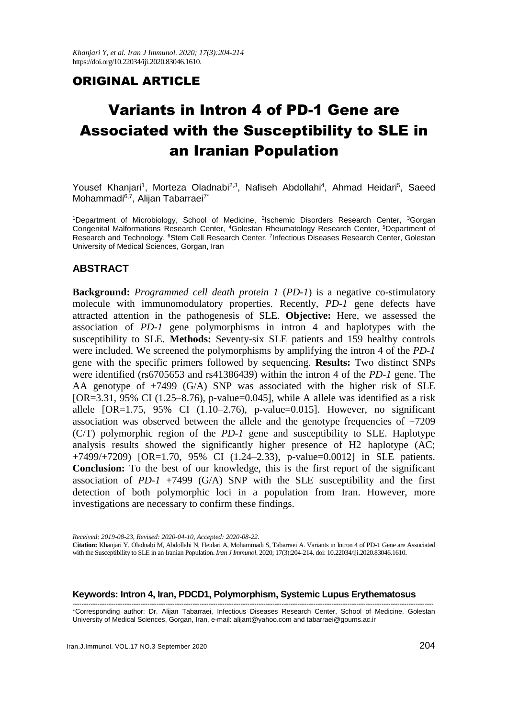## ORIGINAL ARTICLE

# Variants in Intron 4 of PD-1 Gene are Associated with the Susceptibility to SLE in an Iranian Population

Yousef Khanjari<sup>1</sup>, Morteza Oladnabi<sup>2,3</sup>, Nafiseh Abdollahi<sup>4</sup>, Ahmad Heidari<sup>5</sup>, Saeed Mohammadi<sup>6,7</sup>, Alijan Tabarraei<sup>7\*</sup>

<sup>1</sup>Department of Microbiology, School of Medicine, <sup>2</sup>Ischemic Disorders Research Center, <sup>3</sup>Gorgan Congenital Malformations Research Center, <sup>4</sup>Golestan Rheumatology Research Center, <sup>5</sup>Department of Research and Technology, <sup>6</sup>Stem Cell Research Center, <sup>7</sup>Infectious Diseases Research Center, Golestan University of Medical Sciences, Gorgan, Iran

## **ABSTRACT**

**Background:** *Programmed cell death protein 1* (*PD-1*) is a negative co-stimulatory molecule with immunomodulatory properties. Recently, *PD-1* gene defects have attracted attention in the pathogenesis of SLE. **Objective:** Here, we assessed the association of *PD-1* gene polymorphisms in intron 4 and haplotypes with the susceptibility to SLE. **Methods:** Seventy-six SLE patients and 159 healthy controls were included. We screened the polymorphisms by amplifying the intron 4 of the *PD-1* gene with the specific primers followed by sequencing. **Results:** Two distinct SNPs were identified (rs6705653 and rs41386439) within the intron 4 of the *PD-1* gene. The AA genotype of +7499 (G/A) SNP was associated with the higher risk of SLE  $[OR=3.31, 95\% \text{ CI } (1.25-8.76), \text{ p-value}=0.045$ , while A allele was identified as a risk allele [OR=1.75, 95% CI (1.10–2.76), p-value=0.015]. However, no significant association was observed between the allele and the genotype frequencies of +7209 (C/T) polymorphic region of the *PD-1* gene and susceptibility to SLE. Haplotype analysis results showed the significantly higher presence of H2 haplotype (AC; +7499/+7209) [OR=1.70, 95% CI (1.24–2.33), p-value=0.0012] in SLE patients. **Conclusion:** To the best of our knowledge, this is the first report of the significant association of  $PD-1$  +7499 (G/A) SNP with the SLE susceptibility and the first detection of both polymorphic loci in a population from Iran. However, more investigations are necessary to confirm these findings.

#### **Keywords: Intron 4, Iran, PDCD1, Polymorphism, Systemic Lupus Erythematosus**

--------------------------------------------------------------------------------------------------------------------------------------------------------------- \*Corresponding author: Dr. Alijan Tabarraei, Infectious Diseases Research Center, School of Medicine, Golestan University of Medical Sciences, Gorgan, Iran, e-mail: alijant@yahoo.com and tabarraei@goums.ac.ir

*Received: 2019-08-23, Revised: 2020-04-10, Accepted: 2020-08-22.* **Citation:** Khanjari Y, Oladnabi M, Abdollahi N, Heidari A, Mohammadi S, Tabarraei A. Variants in Intron 4 of PD-1 Gene are Associated with the Susceptibility to SLE in an Iranian Population. *Iran J Immunol*. 2020; 17(3):204-214. doi: 10.22034/iji.2020.83046.1610.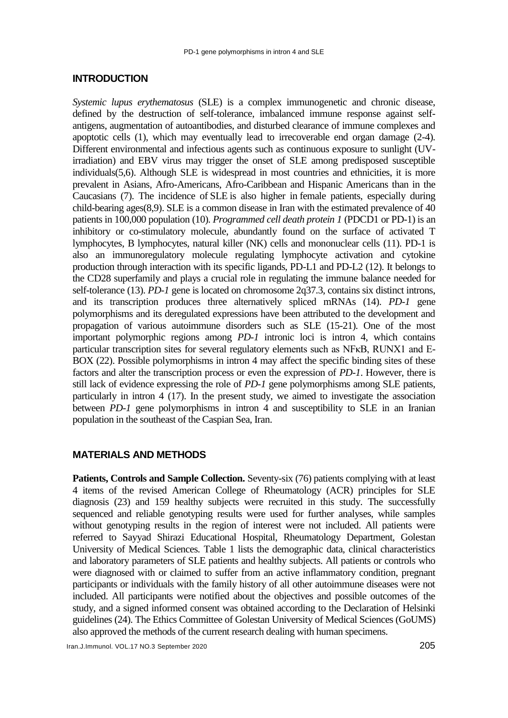#### **INTRODUCTION**

*Systemic lupus erythematosus* (SLE) is a complex immunogenetic and chronic disease, defined by the destruction of self-tolerance, imbalanced immune response against selfantigens, augmentation of autoantibodies, and disturbed clearance of immune complexes and apoptotic cells [\(1\)](#page-8-0), which may eventually lead to irrecoverable end organ damage [\(2-4\)](#page-8-1). Different environmental and infectious agents such as continuous exposure to sunlight (UVirradiation) and EBV virus may trigger the onset of SLE among predisposed susceptible individuals[\(5,](#page-8-2)[6\)](#page-8-3). Although SLE is widespread in most countries and ethnicities, it is more prevalent in Asians, Afro-Americans, Afro-Caribbean and Hispanic Americans than in the Caucasians [\(7\)](#page-8-4). The incidence of SLE is also higher in female patients, especially during child-bearing ages[\(8](#page-8-5)[,9\)](#page-8-6). SLE is a common disease in Iran with the estimated prevalence of 40 patients in 100,000 population [\(10\)](#page-8-7). *Programmed cell death protein 1* (PDCD1 or PD-1) is an inhibitory or co-stimulatory molecule, abundantly found on the surface of activated T lymphocytes, B lymphocytes, natural killer (NK) cells and mononuclear cells [\(11\)](#page-8-8). PD-1 is also an immunoregulatory molecule regulating lymphocyte activation and cytokine production through interaction with its specific ligands, PD-L1 and PD-L2 [\(12\)](#page-8-9). It belongs to the CD28 superfamily and plays a crucial role in regulating the immune balance needed for self-tolerance [\(13\)](#page-8-10). *PD-1* gene is located on chromosome 2q37.3, contains six distinct introns, and its transcription produces three alternatively spliced mRNAs [\(14\)](#page-8-11). *PD-1* gene polymorphisms and its deregulated expressions have been attributed to the development and propagation of various autoimmune disorders such as SLE [\(15-21\)](#page-9-0). One of the most important polymorphic regions among *PD-1* intronic loci is intron 4, which contains particular transcription sites for several regulatory elements such as NFκB, RUNX1 and E-BOX [\(22\)](#page-9-1). Possible polymorphisms in intron 4 may affect the specific binding sites of these factors and alter the transcription process or even the expression of *PD-1*. However, there is still lack of evidence expressing the role of *PD-1* gene polymorphisms among SLE patients, particularly in intron 4 [\(17\)](#page-9-2). In the present study, we aimed to investigate the association between *PD-1* gene polymorphisms in intron 4 and susceptibility to SLE in an Iranian population in the southeast of the Caspian Sea, Iran.

#### **MATERIALS AND METHODS**

**Patients, Controls and Sample Collection.** Seventy-six (76) patients complying with at least 4 items of the revised American College of Rheumatology (ACR) principles for SLE diagnosis [\(23\)](#page-9-3) and 159 healthy subjects were recruited in this study. The successfully sequenced and reliable genotyping results were used for further analyses, while samples without genotyping results in the region of interest were not included. All patients were referred to Sayyad Shirazi Educational Hospital, Rheumatology Department, Golestan University of Medical Sciences. Table 1 lists the demographic data, clinical characteristics and laboratory parameters of SLE patients and healthy subjects. All patients or controls who were diagnosed with or claimed to suffer from an active inflammatory condition, pregnant participants or individuals with the family history of all other autoimmune diseases were not included. All participants were notified about the objectives and possible outcomes of the study, and a signed informed consent was obtained according to the Declaration of Helsinki guidelines [\(24\)](#page-9-4). The Ethics Committee of Golestan University of Medical Sciences (GoUMS) also approved the methods of the current research dealing with human specimens.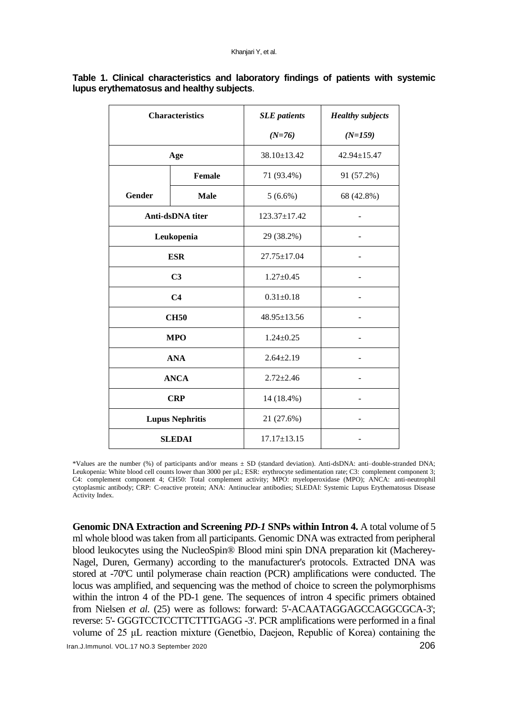| <b>Characteristics</b> |                                      | <b>SLE</b> patients | <b>Healthy subjects</b> |  |
|------------------------|--------------------------------------|---------------------|-------------------------|--|
|                        |                                      | $(N=76)$            | $(N=159)$               |  |
| Age                    |                                      | $38.10 \pm 13.42$   | $42.94 \pm 15.47$       |  |
|                        | <b>Female</b>                        | 71 (93.4%)          | 91 (57.2%)              |  |
| <b>Gender</b>          | <b>Male</b>                          | $5(6.6\%)$          | 68 (42.8%)              |  |
|                        | Anti-dsDNA titer                     | $123.37 \pm 17.42$  |                         |  |
|                        | Leukopenia                           | 29 (38.2%)          |                         |  |
| <b>ESR</b>             |                                      | 27.75±17.04         |                         |  |
| C <sub>3</sub>         |                                      | $1.27 \pm 0.45$     |                         |  |
|                        | C <sub>4</sub>                       | $0.31 \pm 0.18$     |                         |  |
|                        | <b>CH50</b>                          | 48.95±13.56         | -                       |  |
|                        | <b>MPO</b>                           | $1.24 \pm 0.25$     |                         |  |
|                        | <b>ANA</b>                           | $2.64 \pm 2.19$     |                         |  |
|                        | <b>ANCA</b>                          | $2.72 \pm 2.46$     |                         |  |
|                        | <b>CRP</b>                           | 14 (18.4%)          |                         |  |
|                        | <b>Lupus Nephritis</b><br>21 (27.6%) |                     |                         |  |
|                        | <b>SLEDAI</b>                        | $17.17 \pm 13.15$   |                         |  |

#### **Table 1. Clinical characteristics and laboratory findings of patients with systemic lupus erythematosus and healthy subjects**.

\*Values are the number (%) of participants and/or means ± SD (standard deviation). Anti-dsDNA: anti–double-stranded DNA; Leukopenia: White blood cell counts lower than 3000 per µL; ESR: erythrocyte sedimentation rate; C3: complement component 3; C4: complement component 4; CH50: Total complement activity; MPO: myeloperoxidase (MPO); ANCA: anti-neutrophil cytoplasmic antibody; CRP: C-reactive protein; ANA: Antinuclear antibodies; SLEDAI: Systemic Lupus Erythematosus Disease Activity Index.

Iran.J.Immunol. VOL.17 NO.3 September <sup>2020</sup>206 **Genomic DNA Extraction and Screening** *PD-1* **SNPs within Intron 4.** A total volume of 5 ml whole blood was taken from all participants. Genomic DNA was extracted from peripheral blood leukocytes using the NucleoSpin® Blood mini spin DNA preparation kit (Macherey-Nagel, Duren, Germany) according to the manufacturer's protocols. Extracted DNA was stored at -70ºC until polymerase chain reaction (PCR) amplifications were conducted. The locus was amplified, and sequencing was the method of choice to screen the polymorphisms within the intron 4 of the PD-1 gene. The sequences of intron 4 specific primers obtained from Nielsen *et al.* [\(25\)](#page-9-5) were as follows: forward: 5'-ACAATAGGAGCCAGGCGCA-3'; reverse: 5'- GGGTCCTCCTTCTTTGAGG -3'. PCR amplifications were performed in a final volume of 25 μL reaction mixture (Genetbio, Daejeon, Republic of Korea) containing the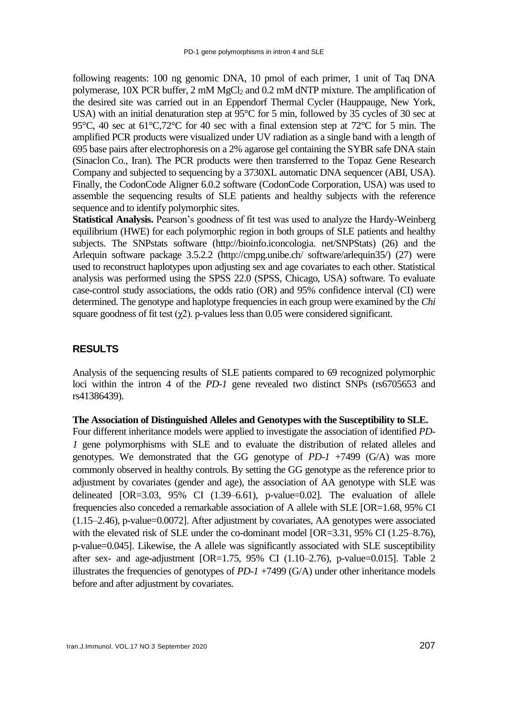following reagents: 100 ng genomic DNA, 10 pmol of each primer, 1 unit of Taq DNA polymerase, 10X PCR buffer, 2 mM MgCl<sup>2</sup> and 0.2 mM dNTP mixture. The amplification of the desired site was carried out in an Eppendorf Thermal Cycler (Hauppauge, New York, USA) with an initial denaturation step at 95°C for 5 min, followed by 35 cycles of 30 sec at 95°C, 40 sec at 61°C,72°C for 40 sec with a final extension step at 72°C for 5 min. The amplified PCR products were visualized under UV radiation as a single band with a length of 695 base pairs after electrophoresis on a 2% agarose gel containing the SYBR safe DNA stain (Sinaclon Co., Iran). The PCR products were then transferred to the Topaz Gene Research Company and subjected to sequencing by a 3730XL automatic DNA sequencer (ABI, USA). Finally, the CodonCode Aligner 6.0.2 software (CodonCode Corporation, USA) was used to assemble the sequencing results of SLE patients and healthy subjects with the reference sequence and to identify polymorphic sites.

**Statistical Analysis.** Pearson's goodness of fit test was used to analyze the Hardy-Weinberg equilibrium (HWE) for each polymorphic region in both groups of SLE patients and healthy subjects. The SNPstats software (http://bioinfo.iconcologia. net/SNPStats) [\(26\)](#page-9-6) and the Arlequin software package 3.5.2.2 (http://cmpg.unibe.ch/ software/arlequin35/) [\(27\)](#page-9-7) were used to reconstruct haplotypes upon adjusting sex and age covariates to each other. Statistical analysis was performed using the SPSS 22.0 (SPSS, Chicago, USA) software. To evaluate case-control study associations, the odds ratio (OR) and 95% confidence interval (CI) were determined. The genotype and haplotype frequencies in each group were examined by the *Chi* square goodness of fit test  $(\gamma 2)$ . p-values less than 0.05 were considered significant.

#### **RESULTS**

Analysis of the sequencing results of SLE patients compared to 69 recognized polymorphic loci within the intron 4 of the *PD-1* gene revealed two distinct SNPs (rs6705653 and rs41386439).

#### **The Association of Distinguished Alleles and Genotypes with the Susceptibility to SLE.**

Four different inheritance models were applied to investigate the association of identified *PD-1* gene polymorphisms with SLE and to evaluate the distribution of related alleles and genotypes. We demonstrated that the GG genotype of *PD-1* +7499 (G/A) was more commonly observed in healthy controls. By setting the GG genotype as the reference prior to adjustment by covariates (gender and age), the association of AA genotype with SLE was delineated [OR=3.03, 95% CI (1.39–6.61), p-value=0.02]. The evaluation of allele frequencies also conceded a remarkable association of A allele with SLE [OR=1.68, 95% CI (1.15–2.46), p-value=0.0072]. After adjustment by covariates, AA genotypes were associated with the elevated risk of SLE under the co-dominant model [OR=3.31, 95% CI (1.25–8.76), p-value=0.045]. Likewise, the A allele was significantly associated with SLE susceptibility after sex- and age-adjustment [OR=1.75, 95% CI (1.10–2.76), p-value=0.015]. Table 2 illustrates the frequencies of genotypes of *PD-1* +7499 (G/A) under other inheritance models before and after adjustment by covariates.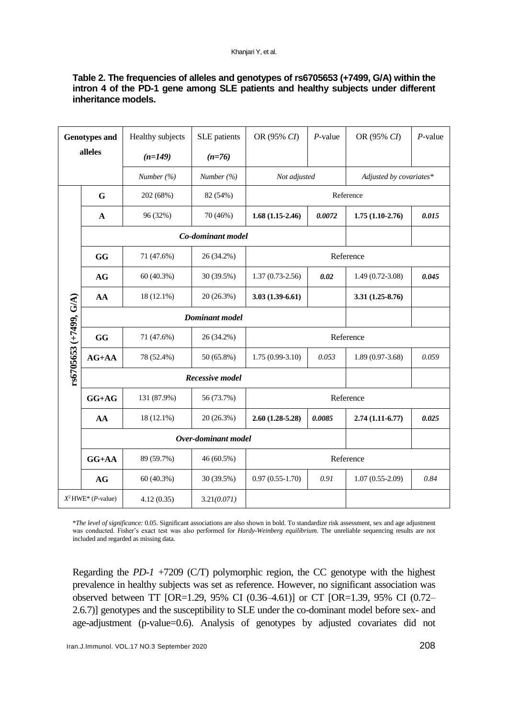#### **Table 2. The frequencies of alleles and genotypes of rs6705653 (+7499, G/A) within the intron 4 of the PD-1 gene among SLE patients and healthy subjects under different inheritance models.**

| <b>Genotypes and</b><br>alleles |                               | Healthy subjects  | SLE patients   | OR (95% CI)                | $P$ -value | OR (95% CI)             | $P$ -value |  |
|---------------------------------|-------------------------------|-------------------|----------------|----------------------------|------------|-------------------------|------------|--|
|                                 |                               | $(n=149)$         | $(n=76)$       |                            |            |                         |            |  |
|                                 |                               | Number $(\% )$    | Number $(\% )$ | Not adjusted               |            | Adjusted by covariates* |            |  |
|                                 | G                             | 202 (68%)         | 82 (54%)       | Reference                  |            |                         |            |  |
|                                 | $\mathbf A$                   | 96 (32%)          | 70 (46%)       | $1.68(1.15-2.46)$          | 0.0072     | $1.75(1.10-2.76)$       | 0.015      |  |
|                                 |                               | Co-dominant model |                |                            |            |                         |            |  |
|                                 | GG                            | 71 (47.6%)        | 26 (34.2%)     | Reference                  |            |                         |            |  |
|                                 | <b>AG</b>                     | 60 (40.3%)        | 30 (39.5%)     | $1.37(0.73-2.56)$          | 0.02       | $1.49(0.72 - 3.08)$     | 0.045      |  |
| rs6705653 (+7499, G/A)          | AA                            | 18 (12.1%)        | 20 (26.3%)     | $3.03(1.39-6.61)$          |            | $3.31(1.25-8.76)$       |            |  |
|                                 | <b>Dominant</b> model         |                   |                |                            |            |                         |            |  |
|                                 | GG                            | 71 (47.6%)        | 26 (34.2%)     | Reference                  |            |                         |            |  |
|                                 | $AG+AA$                       | 78 (52.4%)        | 50 (65.8%)     | $1.75(0.99-3.10)$<br>0.053 |            | $1.89(0.97-3.68)$       | 0.059      |  |
|                                 | <b>Recessive model</b>        |                   |                |                            |            |                         |            |  |
|                                 | $GG+AG$                       | 131 (87.9%)       | 56 (73.7%)     | Reference                  |            |                         |            |  |
|                                 | AA                            | 18 (12.1%)        | 20 (26.3%)     | $2.60(1.28-5.28)$          | 0.0085     | $2.74(1.11-6.77)$       | 0.025      |  |
|                                 | Over-dominant model           |                   |                |                            |            |                         |            |  |
|                                 | $GG+AA$                       | 89 (59.7%)        | 46 (60.5%)     | Reference                  |            |                         |            |  |
|                                 | AG                            | 60 (40.3%)        | 30 (39.5%)     | $0.97(0.55-1.70)$          | 0.91       | $1.07(0.55-2.09)$       | 0.84       |  |
|                                 | $X^2$ HWE* ( <i>P</i> -value) | 4.12(0.35)        | 3.21(0.071)    |                            |            |                         |            |  |

\**The level of significance:* 0.05. Significant associations are also shown in bold. To standardize risk assessment, sex and age adjustment was conducted. Fisher's exact test was also performed for *Hardy-Weinberg equilibrium*. The unreliable sequencing results are not included and regarded as missing data.

Regarding the *PD-1* +7209 (C/T) polymorphic region, the CC genotype with the highest prevalence in healthy subjects was set as reference. However, no significant association was observed between TT [OR=1.29, 95% CI (0.36–4.61)] or CT [OR=1.39, 95% CI (0.72– 2.6.7)] genotypes and the susceptibility to SLE under the co-dominant model before sex- and age-adjustment (p-value=0.6). Analysis of genotypes by adjusted covariates did not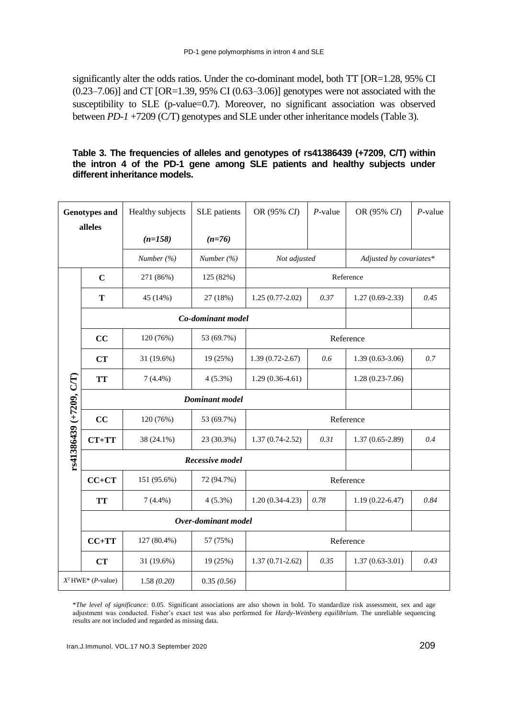significantly alter the odds ratios. Under the co-dominant model, both TT [OR=1.28, 95% CI  $(0.23–7.06)$ ] and CT [OR=1.39, 95% CI  $(0.63–3.06)$ ] genotypes were not associated with the susceptibility to SLE (p-value=0.7). Moreover, no significant association was observed between *PD-1* +7209 (C/T) genotypes and SLE under other inheritance models (Table 3).

#### **Table 3. The frequencies of alleles and genotypes of rs41386439 (+7209, C/T) within the intron 4 of the PD-1 gene among SLE patients and healthy subjects under different inheritance models.**

| <b>Genotypes and</b>    |                               | Healthy subjects | SLE patients   | OR (95% CI)         | $P$ -value | OR (95% CI)             | $P$ -value |
|-------------------------|-------------------------------|------------------|----------------|---------------------|------------|-------------------------|------------|
| alleles                 |                               | $(n=158)$        | $(n=76)$       |                     |            |                         |            |
|                         |                               | Number $(\% )$   | Number $(\% )$ | Not adjusted        |            | Adjusted by covariates* |            |
|                         | $\mathbf C$                   | 271 (86%)        | 125 (82%)      |                     |            | Reference               |            |
|                         | Т                             | 45 (14%)         | 27 (18%)       | $1.25(0.77-2.02)$   | 0.37       | $1.27(0.69-2.33)$       | 0.45       |
| rs41386439 (+7209, C/T) | Co-dominant model             |                  |                |                     |            |                         |            |
|                         | CC                            | 120 (76%)        | 53 (69.7%)     | Reference           |            |                         |            |
|                         | CT                            | 31 (19.6%)       | 19 (25%)       | $1.39(0.72 - 2.67)$ | 0.6        | $1.39(0.63-3.06)$       | 0.7        |
|                         | <b>TT</b>                     | $7(4.4\%)$       | $4(5.3\%)$     | $1.29(0.36-4.61)$   |            | $1.28(0.23 - 7.06)$     |            |
|                         | <b>Dominant</b> model         |                  |                |                     |            |                         |            |
|                         | CC                            | 120 (76%)        | 53 (69.7%)     | Reference           |            |                         |            |
|                         | $CT+TT$                       | 38 (24.1%)       | 23 (30.3%)     | $1.37(0.74 - 2.52)$ | 0.31       | $1.37(0.65 - 2.89)$     | 0.4        |
|                         | Recessive model               |                  |                |                     |            |                         |            |
|                         | $CC+CT$                       | 151 (95.6%)      | 72 (94.7%)     | Reference           |            |                         |            |
|                         | <b>TT</b>                     | $7(4.4\%)$       | $4(5.3\%)$     | $1.20(0.34-4.23)$   | 0.78       | $1.19(0.22 - 6.47)$     | 0.84       |
|                         | Over-dominant model           |                  |                |                     |            |                         |            |
|                         | $CC+TT$                       | 127 (80.4%)      | 57 (75%)       | Reference           |            |                         |            |
|                         | <b>CT</b>                     | 31 (19.6%)       | 19 (25%)       | $1.37(0.71 - 2.62)$ | 0.35       | $1.37(0.63 - 3.01)$     | 0.43       |
|                         | $X^2$ HWE* ( <i>P</i> -value) | 1.58(0.20)       | 0.35(0.56)     |                     |            |                         |            |

\**The level of significance:* 0.05. Significant associations are also shown in bold. To standardize risk assessment, sex and age adjustment was conducted. Fisher's exact test was also performed for *Hardy-Weinberg equilibrium*. The unreliable sequencing results are not included and regarded as missing data.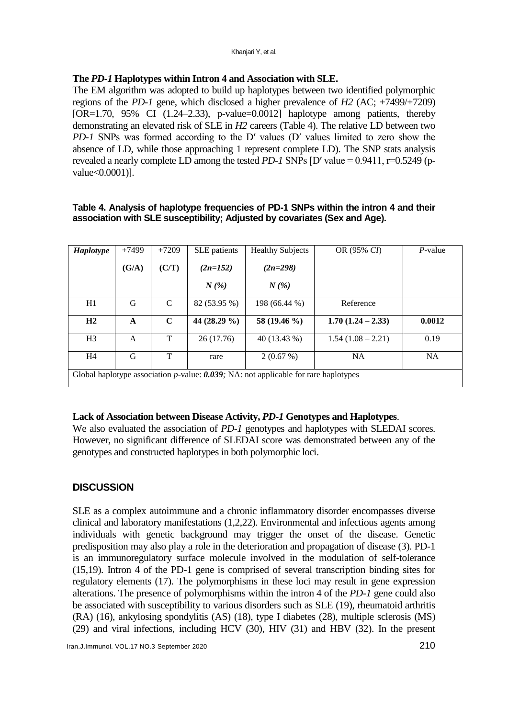### **The** *PD-1* **Haplotypes within Intron 4 and Association with SLE.**

The EM algorithm was adopted to build up haplotypes between two identified polymorphic regions of the *PD-1* gene, which disclosed a higher prevalence of *H2* (AC; +7499/+7209) [OR=1.70, 95% CI (1.24–2.33), p-value=0.0012] haplotype among patients, thereby demonstrating an elevated risk of SLE in *H2* careers (Table 4). The relative LD between two *PD-1* SNPs was formed according to the D′ values (D′ values limited to zero show the absence of LD, while those approaching 1 represent complete LD). The SNP stats analysis revealed a nearly complete LD among the tested *PD-1* SNPs [D′ value = 0.9411, r=0.5249 (pvalue<0.0001)].

#### **Table 4. Analysis of haplotype frequencies of PD-1 SNPs within the intron 4 and their association with SLE susceptibility; Adjusted by covariates (Sex and Age).**

| <b>Haplotype</b>                                                                          | $+7499$ | $+7209$ | SLE patients | <b>Healthy Subjects</b> | OR (95% CI)         | $P$ -value |
|-------------------------------------------------------------------------------------------|---------|---------|--------------|-------------------------|---------------------|------------|
|                                                                                           | (G/A)   | (C/T)   | $(2n=152)$   | $(2n=298)$              |                     |            |
|                                                                                           |         |         | $N(\%)$      | $N(\%)$                 |                     |            |
| H1                                                                                        | G       | C       | 82 (53.95 %) | 198 (66.44 %)           | Reference           |            |
| H2                                                                                        | A       | C       | 44 (28.29 %) | 58 (19.46 %)            | $1.70(1.24 - 2.33)$ | 0.0012     |
| H <sub>3</sub>                                                                            | A       | T       | 26(17.76)    | 40 (13.43 %)            | $1.54(1.08-2.21)$   | 0.19       |
| H <sub>4</sub>                                                                            | G       | T       | rare         | 2(0.67%)                | <b>NA</b>           | <b>NA</b>  |
| Global haplotype association $p$ -value: $0.039$ ; NA: not applicable for rare haplotypes |         |         |              |                         |                     |            |

#### **Lack of Association between Disease Activity,** *PD-1* **Genotypes and Haplotypes**.

We also evaluated the association of *PD-1* genotypes and haplotypes with SLEDAI scores. However, no significant difference of SLEDAI score was demonstrated between any of the genotypes and constructed haplotypes in both polymorphic loci.

## **DISCUSSION**

SLE as a complex autoimmune and a chronic inflammatory disorder encompasses diverse clinical and laboratory manifestations [\(1](#page-8-0)[,2](#page-8-1)[,22\)](#page-9-1). Environmental and infectious agents among individuals with genetic background may trigger the onset of the disease. Genetic predisposition may also play a role in the deterioration and propagation of disease [\(3\)](#page-8-12). PD-1 is an immunoregulatory surface molecule involved in the modulation of self-tolerance [\(15,](#page-9-0)[19\)](#page-9-8). Intron 4 of the PD-1 gene is comprised of several transcription binding sites for regulatory elements [\(17\)](#page-9-2). The polymorphisms in these loci may result in gene expression alterations. The presence of polymorphisms within the intron 4 of the *PD-1* gene could also be associated with susceptibility to various disorders such as SLE [\(19\)](#page-9-8), rheumatoid arthritis (RA) [\(16\)](#page-9-9), ankylosing spondylitis (AS) [\(18\)](#page-9-10), type I diabetes [\(28\)](#page-9-11), multiple sclerosis (MS) [\(29\)](#page-9-12) and viral infections, including HCV [\(30\)](#page-9-13), HIV [\(31\)](#page-9-14) and HBV [\(32\)](#page-9-15). In the present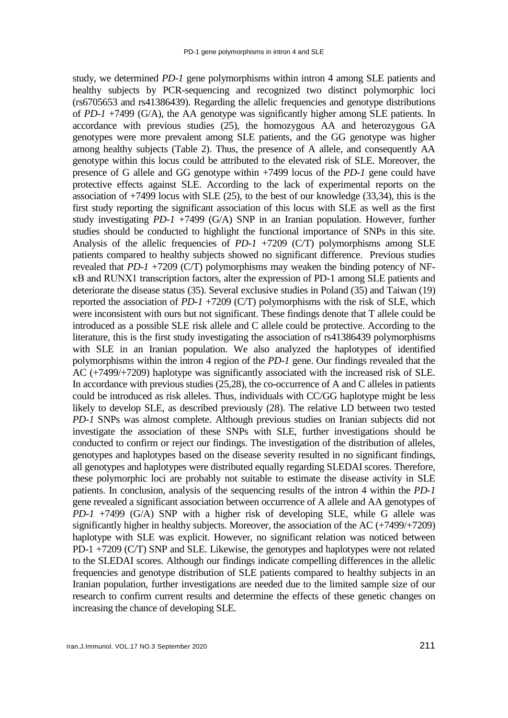study, we determined *PD-1* gene polymorphisms within intron 4 among SLE patients and healthy subjects by PCR-sequencing and recognized two distinct polymorphic loci (rs6705653 and rs41386439). Regarding the allelic frequencies and genotype distributions of *PD-1* +7499 (G/A), the AA genotype was significantly higher among SLE patients. In accordance with previous studies [\(25\)](#page-9-5), the homozygous AA and heterozygous GA genotypes were more prevalent among SLE patients, and the GG genotype was higher among healthy subjects (Table 2). Thus, the presence of A allele, and consequently AA genotype within this locus could be attributed to the elevated risk of SLE. Moreover, the presence of G allele and GG genotype within +7499 locus of the *PD-1* gene could have protective effects against SLE. According to the lack of experimental reports on the association of +7499 locus with SLE [\(25\)](#page-9-5), to the best of our knowledge [\(33](#page-9-16)[,34\)](#page-10-0), this is the first study reporting the significant association of this locus with SLE as well as the first study investigating *PD-1* +7499 (G/A) SNP in an Iranian population. However, further studies should be conducted to highlight the functional importance of SNPs in this site. Analysis of the allelic frequencies of *PD-1* +7209 (C/T) polymorphisms among SLE patients compared to healthy subjects showed no significant difference. Previous studies revealed that *PD-1* +7209 (C/T) polymorphisms may weaken the binding potency of NFκB and RUNX1 transcription factors, alter the expression of PD-1 among SLE patients and deteriorate the disease status [\(35\)](#page-10-1). Several exclusive studies in Poland [\(35\)](#page-10-1) and Taiwan [\(19\)](#page-9-8) reported the association of *PD-1* +7209 (C/T) polymorphisms with the risk of SLE, which were inconsistent with ours but not significant. These findings denote that T allele could be introduced as a possible SLE risk allele and C allele could be protective. According to the literature, this is the first study investigating the association of rs41386439 polymorphisms with SLE in an Iranian population. We also analyzed the haplotypes of identified polymorphisms within the intron 4 region of the *PD-1* gene. Our findings revealed that the AC (+7499/+7209) haplotype was significantly associated with the increased risk of SLE. In accordance with previous studies [\(25](#page-9-5)[,28\)](#page-9-11), the co-occurrence of A and C alleles in patients could be introduced as risk alleles. Thus, individuals with CC/GG haplotype might be less likely to develop SLE, as described previously [\(28\)](#page-9-11). The relative LD between two tested *PD-1* SNPs was almost complete. Although previous studies on Iranian subjects did not investigate the association of these SNPs with SLE, further investigations should be conducted to confirm or reject our findings. The investigation of the distribution of alleles, genotypes and haplotypes based on the disease severity resulted in no significant findings, all genotypes and haplotypes were distributed equally regarding SLEDAI scores. Therefore, these polymorphic loci are probably not suitable to estimate the disease activity in SLE patients. In conclusion, analysis of the sequencing results of the intron 4 within the *PD-1* gene revealed a significant association between occurrence of A allele and AA genotypes of *PD-1* +7499 (G/A) SNP with a higher risk of developing SLE, while G allele was significantly higher in healthy subjects. Moreover, the association of the AC (+7499/+7209) haplotype with SLE was explicit. However, no significant relation was noticed between PD-1 +7209 (C/T) SNP and SLE. Likewise, the genotypes and haplotypes were not related to the SLEDAI scores. Although our findings indicate compelling differences in the allelic frequencies and genotype distribution of SLE patients compared to healthy subjects in an Iranian population, further investigations are needed due to the limited sample size of our research to confirm current results and determine the effects of these genetic changes on increasing the chance of developing SLE.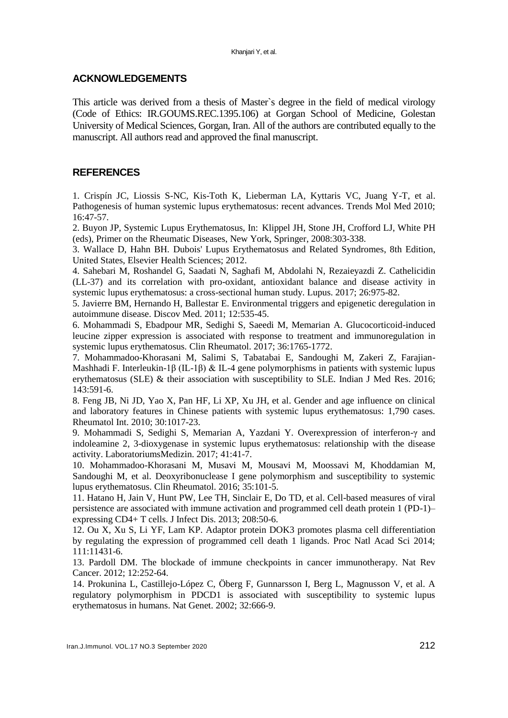#### **ACKNOWLEDGEMENTS**

This article was derived from a thesis of Master`s degree in the field of medical virology (Code of Ethics: IR.GOUMS.REC.1395.106) at Gorgan School of Medicine, Golestan University of Medical Sciences, Gorgan, Iran. All of the authors are contributed equally to the manuscript. All authors read and approved the final manuscript.

#### **REFERENCES**

<span id="page-8-0"></span>1. Crispín JC, Liossis S-NC, Kis-Toth K, Lieberman LA, Kyttaris VC, Juang Y-T, et al. Pathogenesis of human systemic lupus erythematosus: recent advances. Trends Mol Med 2010; 16:47-57.

<span id="page-8-1"></span>2. Buyon JP, Systemic Lupus Erythematosus, In: Klippel JH, Stone JH, Crofford LJ, White PH (eds), Primer on the Rheumatic Diseases, New York, Springer, 2008:303-338.

<span id="page-8-12"></span>3. Wallace D, Hahn BH. Dubois' Lupus Erythematosus and Related Syndromes, 8th Edition, United States, Elsevier Health Sciences; 2012.

4. Sahebari M, Roshandel G, Saadati N, Saghafi M, Abdolahi N, Rezaieyazdi Z. Cathelicidin (LL-37) and its correlation with pro-oxidant, antioxidant balance and disease activity in systemic lupus erythematosus: a cross-sectional human study. Lupus. 2017; 26:975-82.

<span id="page-8-2"></span>5. Javierre BM, Hernando H, Ballestar E. Environmental triggers and epigenetic deregulation in autoimmune disease. Discov Med. 2011; 12:535-45.

<span id="page-8-3"></span>6. Mohammadi S, Ebadpour MR, Sedighi S, Saeedi M, Memarian A. Glucocorticoid-induced leucine zipper expression is associated with response to treatment and immunoregulation in systemic lupus erythematosus. Clin Rheumatol. 2017; 36:1765-1772.

<span id="page-8-4"></span>7. Mohammadoo-Khorasani M, Salimi S, Tabatabai E, Sandoughi M, Zakeri Z, Farajian-Mashhadi F. Interleukin-1β (IL-1β) & IL-4 gene polymorphisms in patients with systemic lupus erythematosus (SLE) & their association with susceptibility to SLE. Indian J Med Res. 2016; 143:591-6.

<span id="page-8-5"></span>8. Feng JB, Ni JD, Yao X, Pan HF, Li XP, Xu JH, et al. Gender and age influence on clinical and laboratory features in Chinese patients with systemic lupus erythematosus: 1,790 cases. Rheumatol Int. 2010; 30:1017-23.

<span id="page-8-6"></span>9. Mohammadi S, Sedighi S, Memarian A, Yazdani Y. Overexpression of interferon-γ and indoleamine 2, 3-dioxygenase in systemic lupus erythematosus: relationship with the disease activity. LaboratoriumsMedizin. 2017; 41:41-7.

<span id="page-8-7"></span>10. Mohammadoo-Khorasani M, Musavi M, Mousavi M, Moossavi M, Khoddamian M, Sandoughi M, et al. Deoxyribonuclease I gene polymorphism and susceptibility to systemic lupus erythematosus. Clin Rheumatol. 2016; 35:101-5.

<span id="page-8-8"></span>11. Hatano H, Jain V, Hunt PW, Lee TH, Sinclair E, Do TD, et al. Cell-based measures of viral persistence are associated with immune activation and programmed cell death protein 1 (PD-1)– expressing CD4+ T cells. J Infect Dis. 2013; 208:50-6.

<span id="page-8-9"></span>12. Ou X, Xu S, Li YF, Lam KP. Adaptor protein DOK3 promotes plasma cell differentiation by regulating the expression of programmed cell death 1 ligands. Proc Natl Acad Sci 2014; 111:11431-6.

<span id="page-8-10"></span>13. Pardoll DM. The blockade of immune checkpoints in cancer immunotherapy. Nat Rev Cancer. 2012; 12:252-64.

<span id="page-8-11"></span>14. Prokunina L, Castillejo-López C, Öberg F, Gunnarsson I, Berg L, Magnusson V, et al. A regulatory polymorphism in PDCD1 is associated with susceptibility to systemic lupus erythematosus in humans. Nat Genet. 2002; 32:666-9.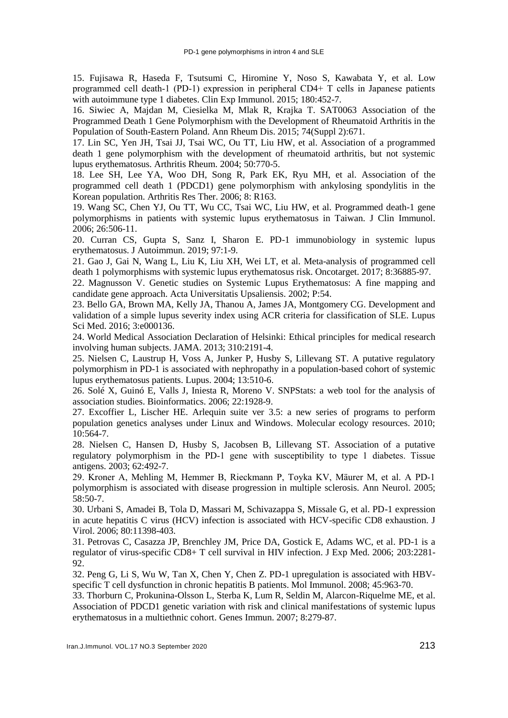<span id="page-9-0"></span>15. Fujisawa R, Haseda F, Tsutsumi C, Hiromine Y, Noso S, Kawabata Y, et al. Low programmed cell death‐1 (PD‐1) expression in peripheral CD4+ T cells in Japanese patients with autoimmune type 1 diabetes. Clin Exp Immunol. 2015; 180:452-7.

<span id="page-9-9"></span>16. Siwiec A, Majdan M, Ciesielka M, Mlak R, Krajka T. SAT0063 Association of the Programmed Death 1 Gene Polymorphism with the Development of Rheumatoid Arthritis in the Population of South-Eastern Poland. Ann Rheum Dis. 2015; 74(Suppl 2):671.

<span id="page-9-2"></span>17. Lin SC, Yen JH, Tsai JJ, Tsai WC, Ou TT, Liu HW, et al. Association of a programmed death 1 gene polymorphism with the development of rheumatoid arthritis, but not systemic lupus erythematosus. Arthritis Rheum. 2004; 50:770-5.

<span id="page-9-10"></span>18. Lee SH, Lee YA, Woo DH, Song R, Park EK, Ryu MH, et al. Association of the programmed cell death 1 (PDCD1) gene polymorphism with ankylosing spondylitis in the Korean population. Arthritis Res Ther. 2006; 8: R163.

<span id="page-9-8"></span>19. Wang SC, Chen YJ, Ou TT, Wu CC, Tsai WC, Liu HW, et al. Programmed death-1 gene polymorphisms in patients with systemic lupus erythematosus in Taiwan. J Clin Immunol. 2006; 26:506-11.

20. Curran CS, Gupta S, Sanz I, Sharon E. PD-1 immunobiology in systemic lupus erythematosus. J Autoimmun. 2019; 97:1-9.

21. Gao J, Gai N, Wang L, Liu K, Liu XH, Wei LT, et al. Meta-analysis of programmed cell death 1 polymorphisms with systemic lupus erythematosus risk. Oncotarget. 2017; 8:36885-97.

<span id="page-9-1"></span>22. Magnusson V. Genetic studies on Systemic Lupus Erythematosus: A fine mapping and candidate gene approach. Acta Universitatis Upsaliensis. 2002; P:54.

<span id="page-9-3"></span>23. Bello GA, Brown MA, Kelly JA, Thanou A, James JA, Montgomery CG. Development and validation of a simple lupus severity index using ACR criteria for classification of SLE. Lupus Sci Med. 2016; 3:e000136.

<span id="page-9-4"></span>24. World Medical Association Declaration of Helsinki: Ethical principles for medical research involving human subjects. JAMA. 2013; 310:2191-4.

<span id="page-9-5"></span>25. Nielsen C, Laustrup H, Voss A, Junker P, Husby S, Lillevang ST. A putative regulatory polymorphism in PD-1 is associated with nephropathy in a population-based cohort of systemic lupus erythematosus patients. Lupus. 2004; 13:510-6.

<span id="page-9-6"></span>26. Solé X, Guinó E, Valls J, Iniesta R, Moreno V. SNPStats: a web tool for the analysis of association studies. Bioinformatics. 2006; 22:1928-9.

<span id="page-9-7"></span>27. Excoffier L, Lischer HE. Arlequin suite ver 3.5: a new series of programs to perform population genetics analyses under Linux and Windows. Molecular ecology resources. 2010; 10:564-7.

<span id="page-9-11"></span>28. Nielsen C, Hansen D, Husby S, Jacobsen B, Lillevang ST. Association of a putative regulatory polymorphism in the PD‐1 gene with susceptibility to type 1 diabetes. Tissue antigens. 2003; 62:492-7.

<span id="page-9-12"></span>29. Kroner A, Mehling M, Hemmer B, Rieckmann P, Toyka KV, Mäurer M, et al. A PD‐1 polymorphism is associated with disease progression in multiple sclerosis. Ann Neurol. 2005; 58:50-7.

<span id="page-9-13"></span>30. Urbani S, Amadei B, Tola D, Massari M, Schivazappa S, Missale G, et al. PD-1 expression in acute hepatitis C virus (HCV) infection is associated with HCV-specific CD8 exhaustion. J Virol. 2006; 80:11398-403.

<span id="page-9-14"></span>31. Petrovas C, Casazza JP, Brenchley JM, Price DA, Gostick E, Adams WC, et al. PD-1 is a regulator of virus-specific CD8+ T cell survival in HIV infection. J Exp Med. 2006; 203:2281- 92.

<span id="page-9-15"></span>32. Peng G, Li S, Wu W, Tan X, Chen Y, Chen Z. PD-1 upregulation is associated with HBVspecific T cell dysfunction in chronic hepatitis B patients. Mol Immunol. 2008; 45:963-70.

<span id="page-9-16"></span>33. Thorburn C, Prokunina-Olsson L, Sterba K, Lum R, Seldin M, Alarcon-Riquelme ME, et al. Association of PDCD1 genetic variation with risk and clinical manifestations of systemic lupus erythematosus in a multiethnic cohort. Genes Immun. 2007; 8:279-87.